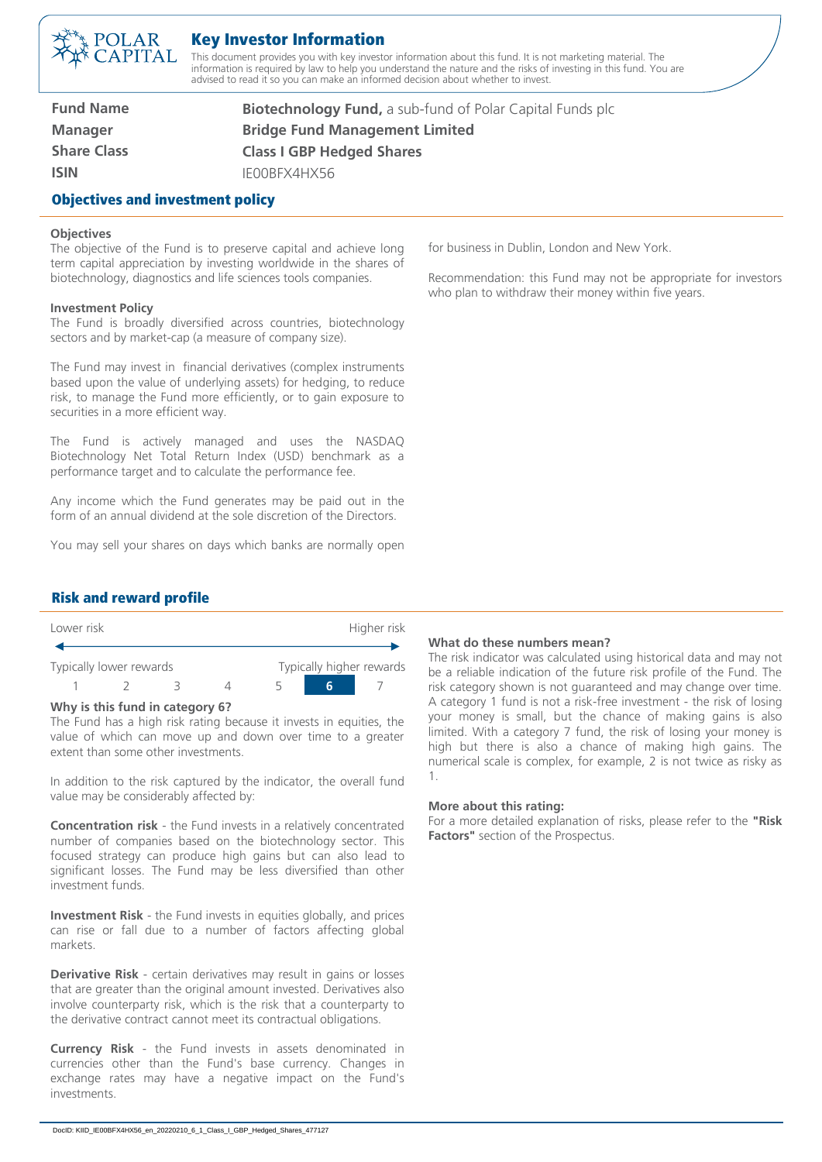

# Key Investor Information

This document provides you with key investor information about this fund. It is not marketing material. The information is required by law to help you understand the nature and the risks of investing in this fund. You are advised to read it so you can make an informed decision about whether to invest.

**Fund Name Manager Share Class ISIN**

Objectives and investment policy

**Biotechnology Fund,** a sub-fund of Polar Capital Funds plc **Bridge Fund Management Limited Class I GBP Hedged Shares** IE00BFX4HX56

# **Objectives**

The objective of the Fund is to preserve capital and achieve long term capital appreciation by investing worldwide in the shares of biotechnology, diagnostics and life sciences tools companies.

#### **Investment Policy**

The Fund is broadly diversified across countries, biotechnology sectors and by market-cap (a measure of company size).

The Fund may invest in financial derivatives (complex instruments based upon the value of underlying assets) for hedging, to reduce risk, to manage the Fund more efficiently, or to gain exposure to securities in a more efficient way.

The Fund is actively managed and uses the NASDAQ Biotechnology Net Total Return Index (USD) benchmark as a performance target and to calculate the performance fee.

Any income which the Fund generates may be paid out in the form of an annual dividend at the sole discretion of the Directors.

You may sell your shares on days which banks are normally open

for business in Dublin, London and New York.

Recommendation: this Fund may not be appropriate for investors who plan to withdraw their money within five years.

## Risk and reward profile

| Lower risk              |  |  | Higher risk |                          |  |  |
|-------------------------|--|--|-------------|--------------------------|--|--|
|                         |  |  |             |                          |  |  |
| Typically lower rewards |  |  |             | Typically higher rewards |  |  |
|                         |  |  |             |                          |  |  |

#### **Why is this fund in category 6?**

The Fund has a high risk rating because it invests in equities, the value of which can move up and down over time to a greater extent than some other investments.

In addition to the risk captured by the indicator, the overall fund value may be considerably affected by:

**Concentration risk** - the Fund invests in a relatively concentrated number of companies based on the biotechnology sector. This focused strategy can produce high gains but can also lead to significant losses. The Fund may be less diversified than other investment funds.

**Investment Risk** - the Fund invests in equities globally, and prices can rise or fall due to a number of factors affecting global markets.

**Derivative Risk** - certain derivatives may result in gains or losses that are greater than the original amount invested. Derivatives also involve counterparty risk, which is the risk that a counterparty to the derivative contract cannot meet its contractual obligations.

**Currency Risk** - the Fund invests in assets denominated in currencies other than the Fund's base currency. Changes in exchange rates may have a negative impact on the Fund's investments.

#### **What do these numbers mean?**

The risk indicator was calculated using historical data and may not be a reliable indication of the future risk profile of the Fund. The risk category shown is not guaranteed and may change over time. A category 1 fund is not a risk-free investment - the risk of losing your money is small, but the chance of making gains is also limited. With a category 7 fund, the risk of losing your money is high but there is also a chance of making high gains. The numerical scale is complex, for example, 2 is not twice as risky as 1.

#### **More about this rating:**

For a more detailed explanation of risks, please refer to the **"Risk Factors"** section of the Prospectus.